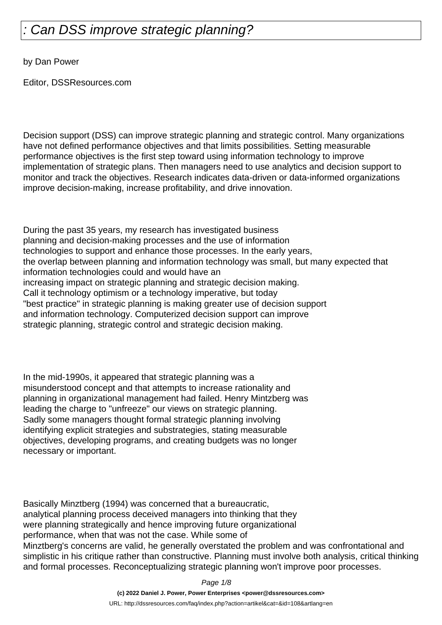by Dan Power

Editor, DSSResources.com

Decision support (DSS) can improve strategic planning and strategic control. Many organizations have not defined performance objectives and that limits possibilities. Setting measurable performance objectives is the first step toward using information technology to improve implementation of strategic plans. Then managers need to use analytics and decision support to monitor and track the objectives. Research indicates data-driven or data-informed organizations improve decision-making, increase profitability, and drive innovation.

During the past 35 years, my research has investigated business planning and decision-making processes and the use of information technologies to support and enhance those processes. In the early years, the overlap between planning and information technology was small, but many expected that information technologies could and would have an increasing impact on strategic planning and strategic decision making. Call it technology optimism or a technology imperative, but today "best practice" in strategic planning is making greater use of decision support and information technology. Computerized decision support can improve strategic planning, strategic control and strategic decision making.

In the mid-1990s, it appeared that strategic planning was a misunderstood concept and that attempts to increase rationality and planning in organizational management had failed. Henry Mintzberg was leading the charge to "unfreeze" our views on strategic planning. Sadly some managers thought formal strategic planning involving identifying explicit strategies and substrategies, stating measurable objectives, developing programs, and creating budgets was no longer necessary or important.

Basically Minztberg (1994) was concerned that a bureaucratic, analytical planning process deceived managers into thinking that they were planning strategically and hence improving future organizational performance, when that was not the case. While some of Minztberg's concerns are valid, he generally overstated the problem and was confrontational and simplistic in his critique rather than constructive. Planning must involve both analysis, critical thinking and formal processes. Reconceptualizing strategic planning won't improve poor processes.

Page 1/8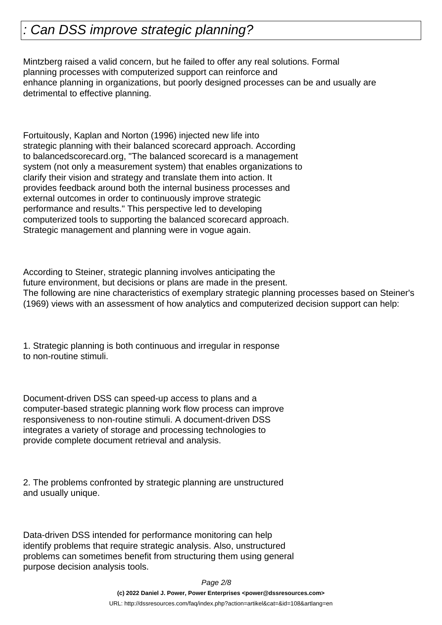Mintzberg raised a valid concern, but he failed to offer any real solutions. Formal planning processes with computerized support can reinforce and enhance planning in organizations, but poorly designed processes can be and usually are detrimental to effective planning.

Fortuitously, Kaplan and Norton (1996) injected new life into strategic planning with their balanced scorecard approach. According to balancedscorecard.org, "The balanced scorecard is a management system (not only a measurement system) that enables organizations to clarify their vision and strategy and translate them into action. It provides feedback around both the internal business processes and external outcomes in order to continuously improve strategic performance and results." This perspective led to developing computerized tools to supporting the balanced scorecard approach. Strategic management and planning were in vogue again.

According to Steiner, strategic planning involves anticipating the future environment, but decisions or plans are made in the present. The following are nine characteristics of exemplary strategic planning processes based on Steiner's (1969) views with an assessment of how analytics and computerized decision support can help:

1. Strategic planning is both continuous and irregular in response to non-routine stimuli.

Document-driven DSS can speed-up access to plans and a computer-based strategic planning work flow process can improve responsiveness to non-routine stimuli. A document-driven DSS integrates a variety of storage and processing technologies to provide complete document retrieval and analysis.

2. The problems confronted by strategic planning are unstructured and usually unique.

Data-driven DSS intended for performance monitoring can help identify problems that require strategic analysis. Also, unstructured problems can sometimes benefit from structuring them using general purpose decision analysis tools.

Page 2/8

**(c) 2022 Daniel J. Power, Power Enterprises <power@dssresources.com>**

URL: http://dssresources.com/faq/index.php?action=artikel&cat=&id=108&artlang=en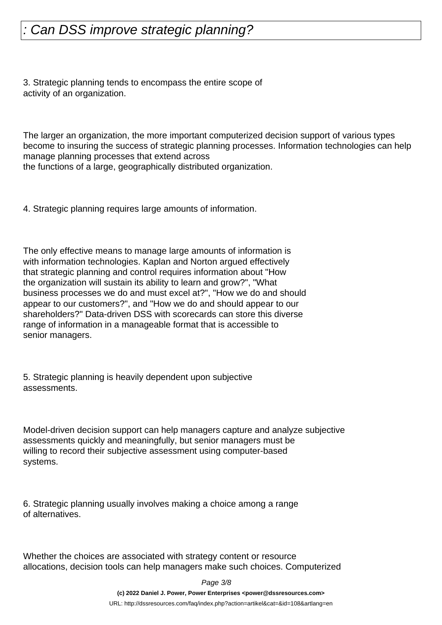3. Strategic planning tends to encompass the entire scope of activity of an organization.

The larger an organization, the more important computerized decision support of various types become to insuring the success of strategic planning processes. Information technologies can help manage planning processes that extend across the functions of a large, geographically distributed organization.

4. Strategic planning requires large amounts of information.

The only effective means to manage large amounts of information is with information technologies. Kaplan and Norton argued effectively that strategic planning and control requires information about "How the organization will sustain its ability to learn and grow?", "What business processes we do and must excel at?", "How we do and should appear to our customers?", and "How we do and should appear to our shareholders?" Data-driven DSS with scorecards can store this diverse range of information in a manageable format that is accessible to senior managers.

5. Strategic planning is heavily dependent upon subjective assessments.

Model-driven decision support can help managers capture and analyze subjective assessments quickly and meaningfully, but senior managers must be willing to record their subjective assessment using computer-based systems.

6. Strategic planning usually involves making a choice among a range of alternatives.

Whether the choices are associated with strategy content or resource allocations, decision tools can help managers make such choices. Computerized

Page 3/8

**(c) 2022 Daniel J. Power, Power Enterprises <power@dssresources.com>**

URL: http://dssresources.com/faq/index.php?action=artikel&cat=&id=108&artlang=en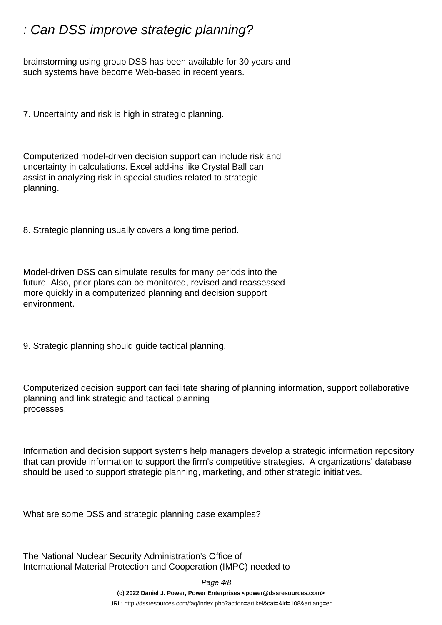brainstorming using group DSS has been available for 30 years and such systems have become Web-based in recent years.

7. Uncertainty and risk is high in strategic planning.

Computerized model-driven decision support can include risk and uncertainty in calculations. Excel add-ins like Crystal Ball can assist in analyzing risk in special studies related to strategic planning.

8. Strategic planning usually covers a long time period.

Model-driven DSS can simulate results for many periods into the future. Also, prior plans can be monitored, revised and reassessed more quickly in a computerized planning and decision support environment.

9. Strategic planning should guide tactical planning.

Computerized decision support can facilitate sharing of planning information, support collaborative planning and link strategic and tactical planning processes.

Information and decision support systems help managers develop a strategic information repository that can provide information to support the firm's competitive strategies. A organizations' database should be used to support strategic planning, marketing, and other strategic initiatives.

What are some DSS and strategic planning case examples?

The National Nuclear Security Administration's Office of International Material Protection and Cooperation (IMPC) needed to

Page 4/8

**(c) 2022 Daniel J. Power, Power Enterprises <power@dssresources.com>**

URL: http://dssresources.com/faq/index.php?action=artikel&cat=&id=108&artlang=en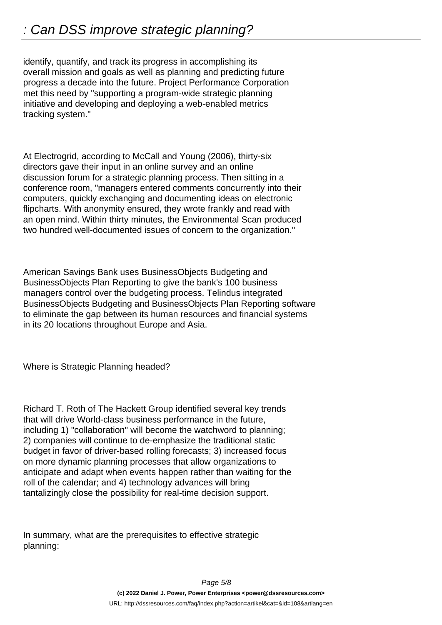identify, quantify, and track its progress in accomplishing its overall mission and goals as well as planning and predicting future progress a decade into the future. Project Performance Corporation met this need by "supporting a program-wide strategic planning initiative and developing and deploying a web-enabled metrics tracking system."

At Electrogrid, according to McCall and Young (2006), thirty-six directors gave their input in an online survey and an online discussion forum for a strategic planning process. Then sitting in a conference room, "managers entered comments concurrently into their computers, quickly exchanging and documenting ideas on electronic flipcharts. With anonymity ensured, they wrote frankly and read with an open mind. Within thirty minutes, the Environmental Scan produced two hundred well-documented issues of concern to the organization."

American Savings Bank uses BusinessObjects Budgeting and BusinessObjects Plan Reporting to give the bank's 100 business managers control over the budgeting process. Telindus integrated BusinessObjects Budgeting and BusinessObjects Plan Reporting software to eliminate the gap between its human resources and financial systems in its 20 locations throughout Europe and Asia.

Where is Strategic Planning headed?

Richard T. Roth of The Hackett Group identified several key trends that will drive World-class business performance in the future, including 1) "collaboration" will become the watchword to planning; 2) companies will continue to de-emphasize the traditional static budget in favor of driver-based rolling forecasts; 3) increased focus on more dynamic planning processes that allow organizations to anticipate and adapt when events happen rather than waiting for the roll of the calendar; and 4) technology advances will bring tantalizingly close the possibility for real-time decision support.

In summary, what are the prerequisites to effective strategic planning: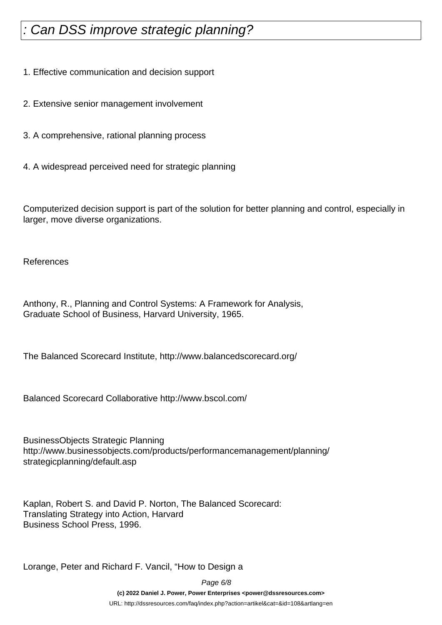1. Effective communication and decision support

- 2. Extensive senior management involvement
- 3. A comprehensive, rational planning process
- 4. A widespread perceived need for strategic planning

Computerized decision support is part of the solution for better planning and control, especially in larger, move diverse organizations.

References

Anthony, R., Planning and Control Systems: A Framework for Analysis, Graduate School of Business, Harvard University, 1965.

The Balanced Scorecard Institute, http://www.balancedscorecard.org/

Balanced Scorecard Collaborative http://www.bscol.com/

BusinessObjects Strategic Planning http://www.businessobjects.com/products/performancemanagement/planning/ strategicplanning/default.asp

Kaplan, Robert S. and David P. Norton, The Balanced Scorecard: Translating Strategy into Action, Harvard Business School Press, 1996.

Lorange, Peter and Richard F. Vancil, "How to Design a

Page 6/8 **(c) 2022 Daniel J. Power, Power Enterprises <power@dssresources.com>** URL: http://dssresources.com/faq/index.php?action=artikel&cat=&id=108&artlang=en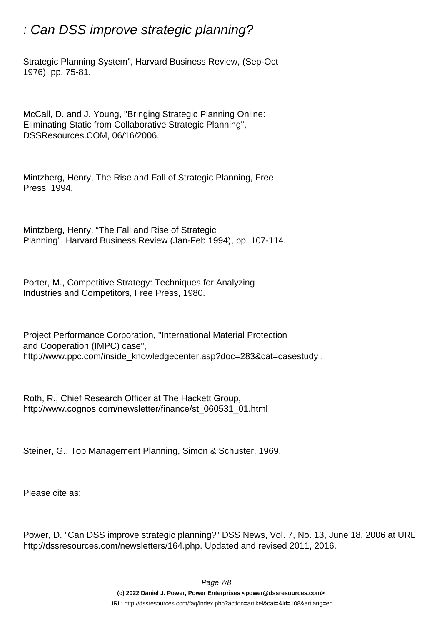Strategic Planning System", Harvard Business Review, (Sep-Oct 1976), pp. 75-81.

McCall, D. and J. Young, "Bringing Strategic Planning Online: Eliminating Static from Collaborative Strategic Planning", DSSResources.COM, 06/16/2006.

Mintzberg, Henry, The Rise and Fall of Strategic Planning, Free Press, 1994.

Mintzberg, Henry, "The Fall and Rise of Strategic Planning", Harvard Business Review (Jan-Feb 1994), pp. 107-114.

Porter, M., Competitive Strategy: Techniques for Analyzing Industries and Competitors, Free Press, 1980.

Project Performance Corporation, "International Material Protection and Cooperation (IMPC) case", http://www.ppc.com/inside\_knowledgecenter.asp?doc=283&cat=casestudy .

Roth, R., Chief Research Officer at The Hackett Group, http://www.cognos.com/newsletter/finance/st\_060531\_01.html

Steiner, G., Top Management Planning, Simon & Schuster, 1969.

Please cite as:

Power, D. "Can DSS improve strategic planning?" DSS News, Vol. 7, No. 13, June 18, 2006 at URL http://dssresources.com/newsletters/164.php. Updated and revised 2011, 2016.